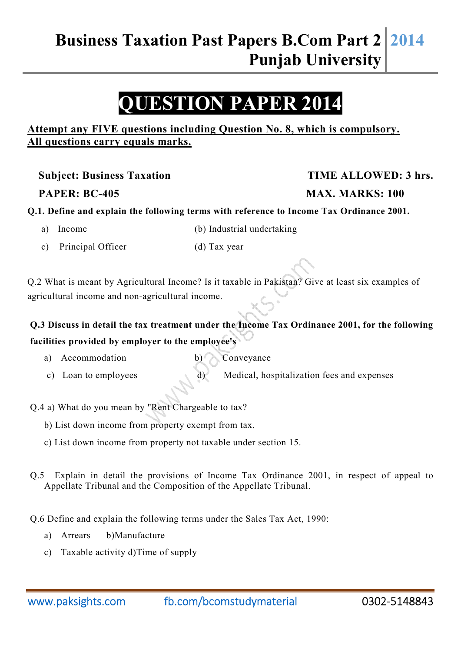# **QUESTION PAPER 2014**

### **Attempt any FIVE questions including Question No. 8, which is compulsory. All questions carry equals marks.**

Subject: Business Taxation TIME ALLOWED: 3 hrs.

### **Q.1. Define and explain the following terms with reference to Income Tax Ordinance 2001.**

- a) Income (b) Industrial undertaking
- c) Principal Officer (d) Tax year

Q.2 What is meant by Agricultural Income? Is it taxable in Pakistan? Give at least six examples of agricultural income and non-agricultural income.

## **Q.3 Discuss in detail the tax treatment under the Income Tax Ordinance 2001, for the following facilities provided by employer to the employee's**

- a) Accommodation b) Conveyance
- 

c) Loan to employees d) Medical, hospitalization fees and expenses

- Q.4 a) What do you mean by "Rent Chargeable to tax?
	- b) List down income from property exempt from tax.
	- c) List down income from property not taxable under section 15.
- Q.5 Explain in detail the provisions of Income Tax Ordinance 2001, in respect of appeal to Appellate Tribunal and the Composition of the Appellate Tribunal.

Q.6 Define and explain the following terms under the Sales Tax Act, 1990:

- a) Arrears b)Manufacture
- c) Taxable activity d)Time of supply

### **PAPER: BC-405 MAX. MARKS: 100**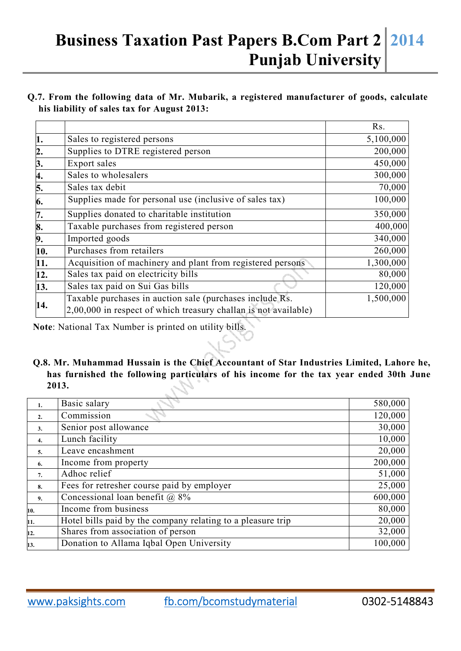# **Business Taxation Past Papers B.Com Part 2 Punjab University 2014**

#### **Q.7. From the following data of Mr. Mubarik, a registered manufacturer of goods, calculate his liability of sales tax for August 2013:**

|     |                                                                                                                             | Rs.       |
|-----|-----------------------------------------------------------------------------------------------------------------------------|-----------|
| 1.  | Sales to registered persons                                                                                                 | 5,100,000 |
| 2.  | Supplies to DTRE registered person                                                                                          | 200,000   |
| 3.  | Export sales                                                                                                                | 450,000   |
| 4.  | Sales to wholesalers                                                                                                        | 300,000   |
| 5.  | Sales tax debit                                                                                                             | 70,000    |
| 6.  | Supplies made for personal use (inclusive of sales tax)                                                                     | 100,000   |
| 7.  | Supplies donated to charitable institution                                                                                  | 350,000   |
| 8.  | Taxable purchases from registered person                                                                                    | 400,000   |
| 9.  | Imported goods                                                                                                              | 340,000   |
| 10. | Purchases from retailers                                                                                                    | 260,000   |
| 11. | Acquisition of machinery and plant from registered persons                                                                  | 1,300,000 |
| 12. | Sales tax paid on electricity bills                                                                                         | 80,000    |
| 13. | Sales tax paid on Sui Gas bills                                                                                             | 120,000   |
| 14. | Taxable purchases in auction sale (purchases include Rs.<br>2,00,000 in respect of which treasury challan is not available) | 1,500,000 |

**Note**: National Tax Number is printed on utility bills.

#### **Q.8. Mr. Muhammad Hussain is the Chief Accountant of Star Industries Limited, Lahore he, has furnished the following particulars of his income for the tax year ended 30th June 2013.**

| 1.  | Basic salary                                                | 580,000 |
|-----|-------------------------------------------------------------|---------|
| 2.  | Commission                                                  | 120,000 |
| 3.  | Senior post allowance                                       | 30,000  |
| 4.  | Lunch facility                                              | 10,000  |
| 5.  | Leave encashment                                            | 20,000  |
| 6.  | Income from property                                        | 200,000 |
| 7.  | Adhoc relief                                                | 51,000  |
| 8.  | Fees for retresher course paid by employer                  | 25,000  |
| 9.  | Concessional loan benefit $@8\%$                            | 600,000 |
| 10. | Income from business                                        | 80,000  |
| 11. | Hotel bills paid by the company relating to a pleasure trip | 20,000  |
| 12. | Shares from association of person                           | 32,000  |
| 13. | Donation to Allama Iqbal Open University                    | 100,000 |